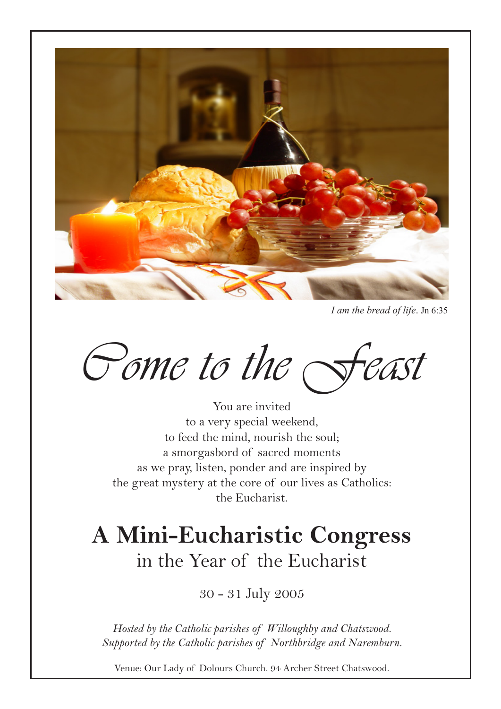

*I am the bread of life*. Jn 6:35

Come to the Feast

You are invited to a very special weekend, to feed the mind, nourish the soul; a smorgasbord of sacred moments as we pray, listen, ponder and are inspired by the great mystery at the core of our lives as Catholics: the Eucharist.

## **A Mini-Eucharistic Congress** in the Year of the Eucharist

30 - 31 July 2005

*Hosted by the Catholic parishes of Willoughby and Chatswood. Supported by the Catholic parishes of Northbridge and Naremburn.*

Venue: Our Lady of Dolours Church. 94 Archer Street Chatswood.